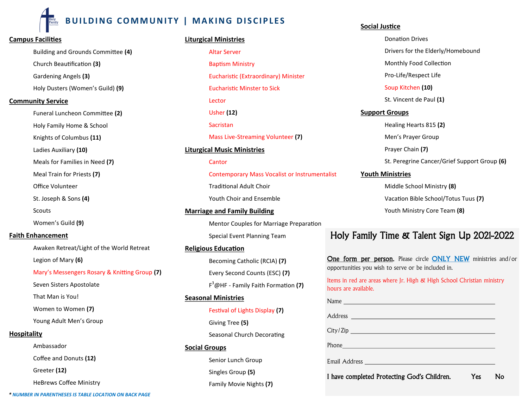# **BUILDING COMMUNITY | MAKING DISCIPLES**

# **Campus Facilities**

Building and Grounds Committee **(4)** Church Beautification **(3)** Gardening Angels **(3)** Holy Dusters (Women's Guild) **(9)**

### **Community Service**

Funeral Luncheon Committee **(2)** Holy Family Home & School Knights of Columbus **(11)** Ladies Auxiliary **(10)** Meals for Families in Need **(7)**

Meal Train for Priests **(7)**

Office Volunteer

St. Joseph & Sons **(4)**

Scouts

Women's Guild **(9)**

# **Faith Enhancement**

Awaken Retreat/Light of the World Retreat Legion of Mary **(6)** Mary's Messengers Rosary & Knitting Group **(7)** Seven Sisters Apostolate That Man is You! Women to Women **(7)**

Young Adult Men's Group

# **Hospitality**

Ambassador Coffee and Donuts **(12)** Greeter **(12)** HeBrews Coffee Ministry

# **Liturgical Ministries**

Altar Server Baptism Ministry Eucharistic (Extraordinary) Minister Eucharistic Minster to Sick Lector Usher **(12)** Sacristan Mass Live-Streaming Volunteer **(7) Liturgical Music Ministries Cantor** 

> Contemporary Mass Vocalist or Instrumentalist Traditional Adult Choir Youth Choir and Ensemble

**Marriage and Family Building** Mentor Couples for Marriage Preparation Special Event Planning Team

# **Religious Education**

Becoming Catholic (RCIA) **(7)** Every Second Counts (ESC) **(7)** F <sup>3</sup>@HF - Family Faith Formation **(7)**

# **Seasonal Ministries**

Festival of Lights Display **(7)** Giving Tree **(5)** Seasonal Church Decorating

# **Social Groups**

Senior Lunch Group Singles Group **(5)** Family Movie Nights **(7)**

### **Social Justice**

Donation Drives Drivers for the Elderly/Homebound Monthly Food Collection Pro-Life/Respect Life Soup Kitchen **(10)** St. Vincent de Paul **(1) Support Groups** Healing Hearts 815 **(2)** Men's Prayer Group Prayer Chain **(7)** St. Peregrine Cancer/Grief Support Group **(6) Youth Ministries**

> Middle School Ministry **(8)** Vacation Bible School/Totus Tuus **(7)** Youth Ministry Core Team **(8)**

# Holy Family Time & Talent Sign Up 2021-2022

One form per person. Please circle ONLY NEW ministries and/or opportunities you wish to serve or be included in.

Items in red are areas where Jr. High & High School Christian ministry hours are available.

Name

Address **Address Address Address Address** 

City/Zip

Phone **Phone Phone Phone Phone Phone Phone Phone Phone Phone Phone Phone Phone Phone Phone Phone Phone Phone Phone Phone Phone Phone Phone Phone Phone Phone Phone Phone**

Email Address

I have completed Protecting God's Children. Yes No

*\* NUMBER IN PARENTHESES IS TABLE LOCATION ON BACK PAGE*